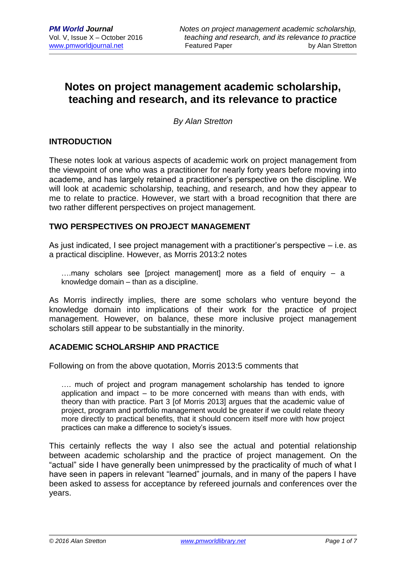# **Notes on project management academic scholarship, teaching and research, and its relevance to practice**

*By Alan Stretton*

#### **INTRODUCTION**

These notes look at various aspects of academic work on project management from the viewpoint of one who was a practitioner for nearly forty years before moving into academe, and has largely retained a practitioner's perspective on the discipline. We will look at academic scholarship, teaching, and research, and how they appear to me to relate to practice. However, we start with a broad recognition that there are two rather different perspectives on project management.

#### **TWO PERSPECTIVES ON PROJECT MANAGEMENT**

As just indicated, I see project management with a practitioner's perspective – i.e. as a practical discipline. However, as Morris 2013:2 notes

….many scholars see [project management] more as a field of enquiry – a knowledge domain – than as a discipline.

As Morris indirectly implies, there are some scholars who venture beyond the knowledge domain into implications of their work for the practice of project management. However, on balance, these more inclusive project management scholars still appear to be substantially in the minority.

## **ACADEMIC SCHOLARSHIP AND PRACTICE**

Following on from the above quotation, Morris 2013:5 comments that

…. much of project and program management scholarship has tended to ignore application and impact – to be more concerned with means than with ends, with theory than with practice. Part 3 [of Morris 2013] argues that the academic value of project, program and portfolio management would be greater if we could relate theory more directly to practical benefits, that it should concern itself more with how project practices can make a difference to society's issues.

This certainly reflects the way I also see the actual and potential relationship between academic scholarship and the practice of project management. On the "actual" side I have generally been unimpressed by the practicality of much of what I have seen in papers in relevant "learned" journals, and in many of the papers I have been asked to assess for acceptance by refereed journals and conferences over the years.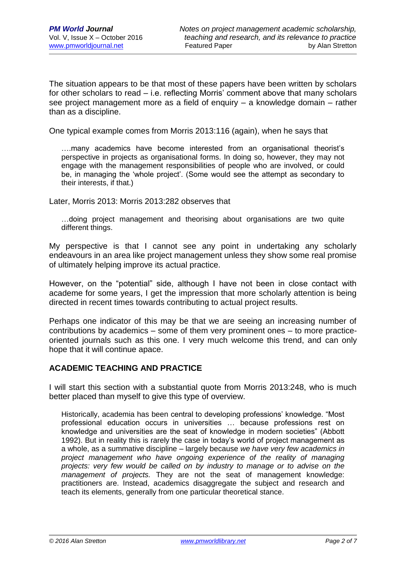The situation appears to be that most of these papers have been written by scholars for other scholars to read – i.e. reflecting Morris' comment above that many scholars see project management more as a field of enquiry – a knowledge domain – rather than as a discipline.

One typical example comes from Morris 2013:116 (again), when he says that

….many academics have become interested from an organisational theorist's perspective in projects as organisational forms. In doing so, however, they may not engage with the management responsibilities of people who are involved, or could be, in managing the 'whole project'. (Some would see the attempt as secondary to their interests, if that.)

Later, Morris 2013: Morris 2013:282 observes that

…doing project management and theorising about organisations are two quite different things.

My perspective is that I cannot see any point in undertaking any scholarly endeavours in an area like project management unless they show some real promise of ultimately helping improve its actual practice.

However, on the "potential" side, although I have not been in close contact with academe for some years, I get the impression that more scholarly attention is being directed in recent times towards contributing to actual project results.

Perhaps one indicator of this may be that we are seeing an increasing number of contributions by academics – some of them very prominent ones – to more practiceoriented journals such as this one. I very much welcome this trend, and can only hope that it will continue apace.

#### **ACADEMIC TEACHING AND PRACTICE**

I will start this section with a substantial quote from Morris 2013:248, who is much better placed than myself to give this type of overview.

Historically, academia has been central to developing professions' knowledge. "Most professional education occurs in universities … because professions rest on knowledge and universities are the seat of knowledge in modern societies" (Abbott 1992). But in reality this is rarely the case in today's world of project management as a whole, as a summative discipline – largely because *we have very few academics in project management who have ongoing experience of the reality of managing projects: very few would be called on by industry to manage or to advise on the management of projects.* They are not the seat of management knowledge: practitioners are. Instead, academics disaggregate the subject and research and teach its elements, generally from one particular theoretical stance.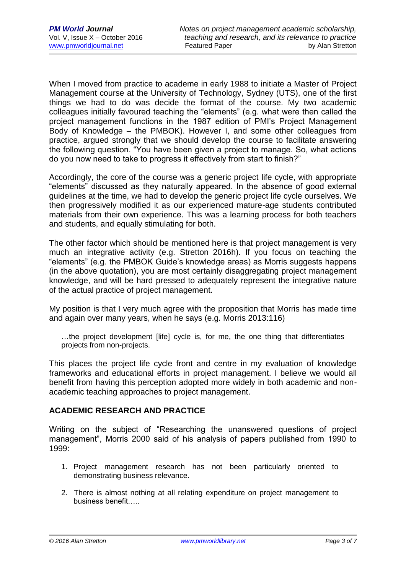When I moved from practice to academe in early 1988 to initiate a Master of Project Management course at the University of Technology, Sydney (UTS), one of the first things we had to do was decide the format of the course. My two academic colleagues initially favoured teaching the "elements" (e.g. what were then called the project management functions in the 1987 edition of PMI's Project Management Body of Knowledge – the PMBOK). However I, and some other colleagues from practice, argued strongly that we should develop the course to facilitate answering the following question. "You have been given a project to manage. So, what actions do you now need to take to progress it effectively from start to finish?"

Accordingly, the core of the course was a generic project life cycle, with appropriate "elements" discussed as they naturally appeared. In the absence of good external guidelines at the time, we had to develop the generic project life cycle ourselves. We then progressively modified it as our experienced mature-age students contributed materials from their own experience. This was a learning process for both teachers and students, and equally stimulating for both.

The other factor which should be mentioned here is that project management is very much an integrative activity (e.g. Stretton 2016h). If you focus on teaching the "elements" (e.g. the PMBOK Guide's knowledge areas) as Morris suggests happens (in the above quotation), you are most certainly disaggregating project management knowledge, and will be hard pressed to adequately represent the integrative nature of the actual practice of project management.

My position is that I very much agree with the proposition that Morris has made time and again over many years, when he says (e.g. Morris 2013:116)

…the project development [life] cycle is, for me, the one thing that differentiates projects from non-projects.

This places the project life cycle front and centre in my evaluation of knowledge frameworks and educational efforts in project management. I believe we would all benefit from having this perception adopted more widely in both academic and nonacademic teaching approaches to project management.

## **ACADEMIC RESEARCH AND PRACTICE**

Writing on the subject of "Researching the unanswered questions of project management", Morris 2000 said of his analysis of papers published from 1990 to 1999:

- 1. Project management research has not been particularly oriented to demonstrating business relevance.
- 2. There is almost nothing at all relating expenditure on project management to business benefit…..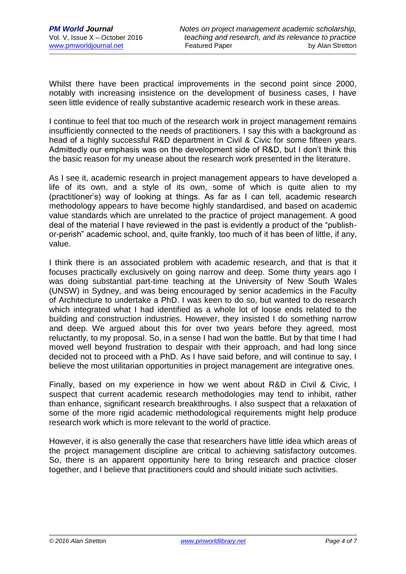Whilst there have been practical improvements in the second point since 2000, notably with increasing insistence on the development of business cases, I have seen little evidence of really substantive academic research work in these areas.

I continue to feel that too much of the research work in project management remains insufficiently connected to the needs of practitioners. I say this with a background as head of a highly successful R&D department in Civil & Civic for some fifteen years. Admittedly our emphasis was on the development side of R&D, but I don't think this the basic reason for my unease about the research work presented in the literature.

As I see it, academic research in project management appears to have developed a life of its own, and a style of its own, some of which is quite alien to my (practitioner's) way of looking at things. As far as I can tell, academic research methodology appears to have become highly standardised, and based on academic value standards which are unrelated to the practice of project management. A good deal of the material I have reviewed in the past is evidently a product of the "publishor-perish" academic school, and, quite frankly, too much of it has been of little, if any, value.

I think there is an associated problem with academic research, and that is that it focuses practically exclusively on going narrow and deep. Some thirty years ago I was doing substantial part-time teaching at the University of New South Wales (UNSW) in Sydney, and was being encouraged by senior academics in the Faculty of Architecture to undertake a PhD. I was keen to do so, but wanted to do research which integrated what I had identified as a whole lot of loose ends related to the building and construction industries. However, they insisted I do something narrow and deep. We argued about this for over two years before they agreed, most reluctantly, to my proposal. So, in a sense I had won the battle. But by that time I had moved well beyond frustration to despair with their approach, and had long since decided not to proceed with a PhD. As I have said before, and will continue to say, I believe the most utilitarian opportunities in project management are integrative ones.

Finally, based on my experience in how we went about R&D in Civil & Civic, I suspect that current academic research methodologies may tend to inhibit, rather than enhance, significant research breakthroughs. I also suspect that a relaxation of some of the more rigid academic methodological requirements might help produce research work which is more relevant to the world of practice.

However, it is also generally the case that researchers have little idea which areas of the project management discipline are critical to achieving satisfactory outcomes. So, there is an apparent opportunity here to bring research and practice closer together, and I believe that practitioners could and should initiate such activities.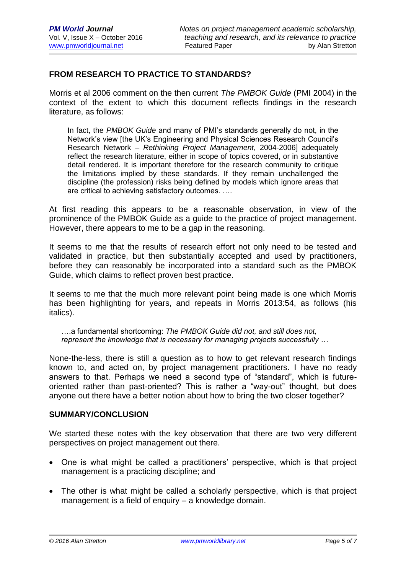# **FROM RESEARCH TO PRACTICE TO STANDARDS?**

Morris et al 2006 comment on the then current *The PMBOK Guide* (PMI 2004) in the context of the extent to which this document reflects findings in the research literature, as follows:

In fact, the *PMBOK Guide* and many of PMI's standards generally do not, in the Network's view [the UK's Engineering and Physical Sciences Research Council's Research Network – *Rethinking Project Management*, 2004-2006] adequately reflect the research literature, either in scope of topics covered, or in substantive detail rendered. It is important therefore for the research community to critique the limitations implied by these standards. If they remain unchallenged the discipline (the profession) risks being defined by models which ignore areas that are critical to achieving satisfactory outcomes. ….

At first reading this appears to be a reasonable observation, in view of the prominence of the PMBOK Guide as a guide to the practice of project management. However, there appears to me to be a gap in the reasoning.

It seems to me that the results of research effort not only need to be tested and validated in practice, but then substantially accepted and used by practitioners, before they can reasonably be incorporated into a standard such as the PMBOK Guide, which claims to reflect proven best practice.

It seems to me that the much more relevant point being made is one which Morris has been highlighting for years, and repeats in Morris 2013:54, as follows (his italics).

….a fundamental shortcoming: *The PMBOK Guide did not, and still does not, represent the knowledge that is necessary for managing projects successfully …*

None-the-less, there is still a question as to how to get relevant research findings known to, and acted on, by project management practitioners. I have no ready answers to that. Perhaps we need a second type of "standard", which is futureoriented rather than past-oriented? This is rather a "way-out" thought, but does anyone out there have a better notion about how to bring the two closer together?

#### **SUMMARY/CONCLUSION**

We started these notes with the key observation that there are two very different perspectives on project management out there.

- One is what might be called a practitioners' perspective, which is that project management is a practicing discipline; and
- The other is what might be called a scholarly perspective, which is that project management is a field of enquiry – a knowledge domain.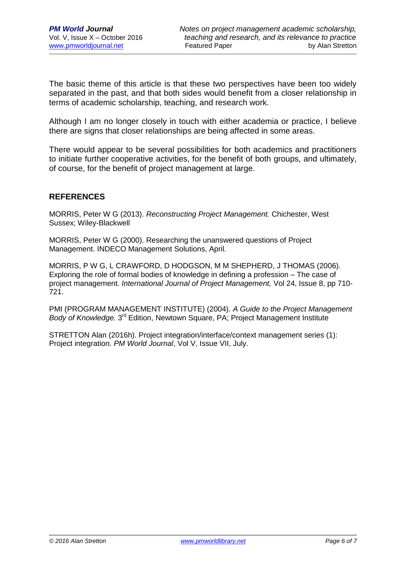The basic theme of this article is that these two perspectives have been too widely separated in the past, and that both sides would benefit from a closer relationship in terms of academic scholarship, teaching, and research work.

Although I am no longer closely in touch with either academia or practice, I believe there are signs that closer relationships are being affected in some areas.

There would appear to be several possibilities for both academics and practitioners to initiate further cooperative activities, for the benefit of both groups, and ultimately, of course, for the benefit of project management at large.

## **REFERENCES**

MORRIS, Peter W G (2013). *Reconstructing Project Management.* Chichester, West Sussex; Wiley-Blackwell

MORRIS, Peter W G (2000). Researching the unanswered questions of Project Management. INDECO Management Solutions, April.

MORRIS, P W G, L CRAWFORD, D HODGSON, M M SHEPHERD, J THOMAS (2006). Exploring the role of formal bodies of knowledge in defining a profession – The case of project management. *International Journal of Project Management,* Vol 24, Issue 8, pp 710- 721.

PMI (PROGRAM MANAGEMENT INSTITUTE) (2004). *A Guide to the Project Management*  Body of Knowledge. 3<sup>rd</sup> Edition, Newtown Square, PA; Project Management Institute

STRETTON Alan (2016h). Project integration/interface/context management series (1): Project integration. *PM World Journal*, Vol V, Issue VII, July.